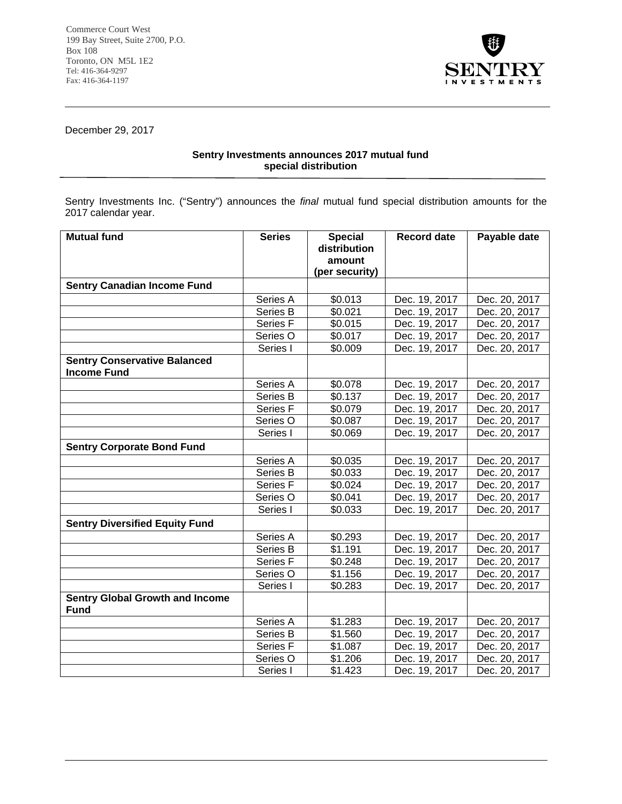

December 29, 2017

## **Sentry Investments announces 2017 mutual fund special distribution**

Sentry Investments Inc. ("Sentry") announces the *final* mutual fund special distribution amounts for the 2017 calendar year.

j

| <b>Mutual fund</b>                                        | <b>Series</b>       | <b>Special</b>           | <b>Record date</b> | Payable date  |
|-----------------------------------------------------------|---------------------|--------------------------|--------------------|---------------|
|                                                           |                     | distribution             |                    |               |
|                                                           |                     | amount<br>(per security) |                    |               |
| <b>Sentry Canadian Income Fund</b>                        |                     |                          |                    |               |
|                                                           |                     |                          |                    |               |
|                                                           | Series A            | \$0.013                  | Dec. 19, 2017      | Dec. 20, 2017 |
|                                                           | Series B            | \$0.021                  | Dec. 19, 2017      | Dec. 20, 2017 |
|                                                           | Series F            | \$0.015                  | Dec. 19, 2017      | Dec. 20, 2017 |
|                                                           | Series O            | \$0.017                  | Dec. 19, 2017      | Dec. 20, 2017 |
|                                                           | Series I            | \$0.009                  | Dec. 19, 2017      | Dec. 20, 2017 |
| <b>Sentry Conservative Balanced</b><br><b>Income Fund</b> |                     |                          |                    |               |
|                                                           | Series A            | \$0.078                  | Dec. 19, 2017      | Dec. 20, 2017 |
|                                                           | Series B            | \$0.137                  | Dec. 19, 2017      | Dec. 20, 2017 |
|                                                           | Series <sub>F</sub> | \$0.079                  | Dec. 19, 2017      | Dec. 20, 2017 |
|                                                           | Series O            | \$0.087                  | Dec. 19, 2017      | Dec. 20, 2017 |
|                                                           | Series I            | \$0.069                  | Dec. 19, 2017      | Dec. 20, 2017 |
| <b>Sentry Corporate Bond Fund</b>                         |                     |                          |                    |               |
|                                                           | Series A            | \$0.035                  | Dec. 19, 2017      | Dec. 20, 2017 |
|                                                           | Series B            | \$0.033                  | Dec. 19, 2017      | Dec. 20, 2017 |
|                                                           | Series <sub>F</sub> | \$0.024                  | Dec. 19, 2017      | Dec. 20, 2017 |
|                                                           | Series O            | \$0.041                  | Dec. 19, 2017      | Dec. 20, 2017 |
|                                                           | Series I            | \$0.033                  | Dec. 19, 2017      | Dec. 20, 2017 |
| <b>Sentry Diversified Equity Fund</b>                     |                     |                          |                    |               |
|                                                           | Series A            | \$0.293                  | Dec. 19, 2017      | Dec. 20, 2017 |
|                                                           | Series B            | \$1.191                  | Dec. 19, 2017      | Dec. 20, 2017 |
|                                                           | Series <sub>F</sub> | \$0.248                  | Dec. 19, 2017      | Dec. 20, 2017 |
|                                                           | Series O            | \$1.156                  | Dec. 19, 2017      | Dec. 20, 2017 |
|                                                           | Series I            | \$0.283                  | Dec. 19, 2017      | Dec. 20, 2017 |
| <b>Sentry Global Growth and Income</b><br><b>Fund</b>     |                     |                          |                    |               |
|                                                           | Series A            | \$1.283                  | Dec. 19, 2017      | Dec. 20, 2017 |
|                                                           | Series B            | \$1.560                  | Dec. 19, 2017      | Dec. 20, 2017 |
|                                                           | Series F            | \$1.087                  | Dec. 19, 2017      | Dec. 20, 2017 |
|                                                           | Series O            | \$1.206                  | Dec. 19, 2017      | Dec. 20, 2017 |
|                                                           | Series I            | \$1.423                  | Dec. 19, 2017      | Dec. 20, 2017 |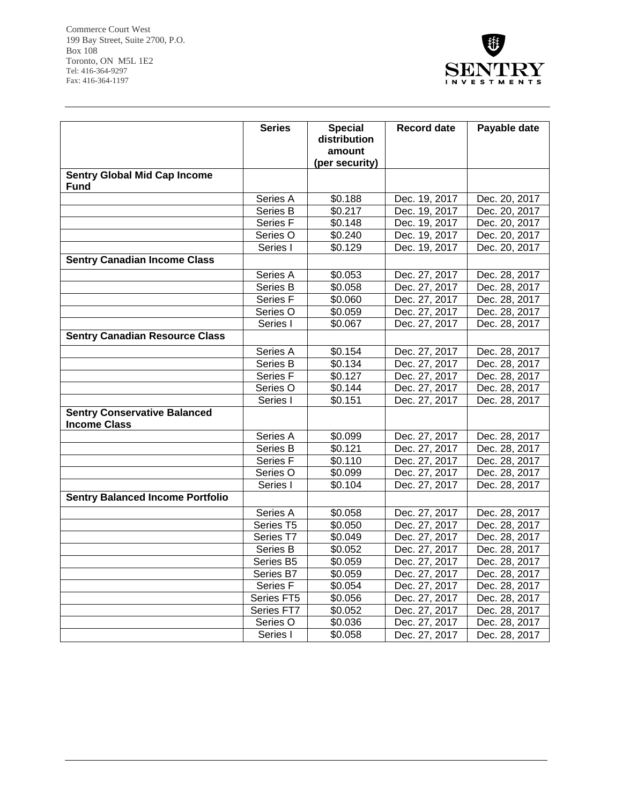

|                                                            | <b>Series</b>        | <b>Special</b>           | <b>Record date</b> | Payable date  |
|------------------------------------------------------------|----------------------|--------------------------|--------------------|---------------|
|                                                            |                      | distribution             |                    |               |
|                                                            |                      | amount<br>(per security) |                    |               |
| <b>Sentry Global Mid Cap Income</b>                        |                      |                          |                    |               |
| Fund                                                       |                      |                          |                    |               |
|                                                            | Series A             | \$0.188                  | Dec. 19, 2017      | Dec. 20, 2017 |
|                                                            | Series B             | \$0.217                  | Dec. 19, 2017      | Dec. 20, 2017 |
|                                                            | Series <sub>F</sub>  | \$0.148                  | Dec. 19, 2017      | Dec. 20, 2017 |
|                                                            | Series O             | \$0.240                  | Dec. 19, 2017      | Dec. 20, 2017 |
|                                                            | Series I             | \$0.129                  | Dec. 19, 2017      | Dec. 20, 2017 |
| <b>Sentry Canadian Income Class</b>                        |                      |                          |                    |               |
|                                                            | Series A             | \$0.053                  | Dec. 27, 2017      | Dec. 28, 2017 |
|                                                            | Series B             | \$0.058                  | Dec. 27, 2017      | Dec. 28, 2017 |
|                                                            | Series F             | \$0.060                  | Dec. 27, 2017      | Dec. 28, 2017 |
|                                                            | Series O             | \$0.059                  | Dec. 27, 2017      | Dec. 28, 2017 |
|                                                            | Series I             | \$0.067                  | Dec. 27, 2017      | Dec. 28, 2017 |
| <b>Sentry Canadian Resource Class</b>                      |                      |                          |                    |               |
|                                                            | Series A             | \$0.154                  | Dec. 27, 2017      | Dec. 28, 2017 |
|                                                            | Series B             | \$0.134                  | Dec. 27, 2017      | Dec. 28, 2017 |
|                                                            | Series F             | \$0.127                  | Dec. 27, 2017      | Dec. 28, 2017 |
|                                                            | Series O             | \$0.144                  | Dec. 27, 2017      | Dec. 28, 2017 |
|                                                            | Series I             | \$0.151                  | Dec. 27, 2017      | Dec. 28, 2017 |
| <b>Sentry Conservative Balanced</b><br><b>Income Class</b> |                      |                          |                    |               |
|                                                            | Series A             | \$0.099                  | Dec. 27, 2017      | Dec. 28, 2017 |
|                                                            | Series B             | \$0.121                  | Dec. 27, 2017      | Dec. 28, 2017 |
|                                                            | Series F             | \$0.110                  | Dec. 27, 2017      | Dec. 28, 2017 |
|                                                            | Series O             | \$0.099                  | Dec. 27, 2017      | Dec. 28, 2017 |
|                                                            | Series I             | \$0.104                  | Dec. 27, 2017      | Dec. 28, 2017 |
| <b>Sentry Balanced Income Portfolio</b>                    |                      |                          |                    |               |
|                                                            | Series A             | \$0.058                  | Dec. 27, 2017      | Dec. 28, 2017 |
|                                                            | Series <sub>T5</sub> | \$0.050                  | Dec. 27, 2017      | Dec. 28, 2017 |
|                                                            | Series T7            | \$0.049                  | Dec. 27, 2017      | Dec. 28, 2017 |
|                                                            | Series B             | \$0.052                  | Dec. 27, 2017      | Dec. 28, 2017 |
|                                                            | Series B5            | \$0.059                  | Dec. 27, 2017      | Dec. 28, 2017 |
|                                                            | Series B7            | \$0.059                  | Dec. 27, 2017      | Dec. 28, 2017 |
|                                                            | Series <sub>F</sub>  | \$0.054                  | Dec. 27, 2017      | Dec. 28, 2017 |
|                                                            | Series FT5           | \$0.056                  | Dec. 27, 2017      | Dec. 28, 2017 |
|                                                            | Series FT7           | \$0.052                  | Dec. 27, 2017      | Dec. 28, 2017 |
|                                                            | Series O             | \$0.036                  | Dec. 27, 2017      | Dec. 28, 2017 |
|                                                            | Series I             | \$0.058                  | Dec. 27, 2017      | Dec. 28, 2017 |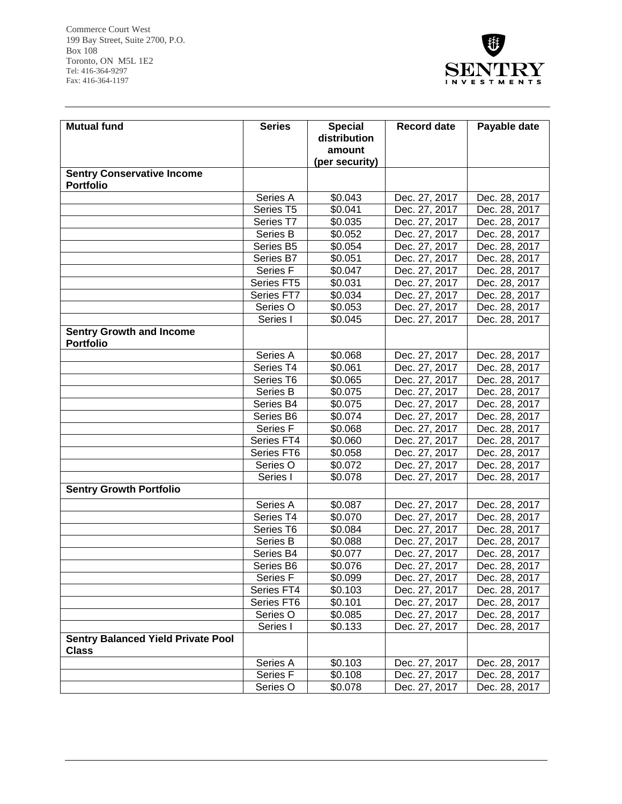

| <b>Mutual fund</b>                                        | <b>Series</b>       | <b>Special</b> | <b>Record date</b> | Payable date  |
|-----------------------------------------------------------|---------------------|----------------|--------------------|---------------|
|                                                           |                     | distribution   |                    |               |
|                                                           |                     | amount         |                    |               |
|                                                           |                     | (per security) |                    |               |
| <b>Sentry Conservative Income</b><br><b>Portfolio</b>     |                     |                |                    |               |
|                                                           | Series A            | \$0.043        | Dec. 27, 2017      | Dec. 28, 2017 |
|                                                           | Series T5           | \$0.041        | Dec. 27, 2017      | Dec. 28, 2017 |
|                                                           | Series T7           | \$0.035        | Dec. 27, 2017      | Dec. 28, 2017 |
|                                                           | Series B            | \$0.052        | Dec. 27, 2017      | Dec. 28, 2017 |
|                                                           | Series B5           | \$0.054        | Dec. 27, 2017      | Dec. 28, 2017 |
|                                                           | Series B7           | \$0.051        | Dec. 27, 2017      | Dec. 28, 2017 |
|                                                           | Series F            | \$0.047        | Dec. 27, 2017      | Dec. 28, 2017 |
|                                                           | Series FT5          | \$0.031        | Dec. 27, 2017      | Dec. 28, 2017 |
|                                                           | Series FT7          | \$0.034        | Dec. 27, 2017      | Dec. 28, 2017 |
|                                                           | Series O            | \$0.053        | Dec. 27, 2017      | Dec. 28, 2017 |
|                                                           | Series I            | \$0.045        | Dec. 27, 2017      | Dec. 28, 2017 |
| <b>Sentry Growth and Income</b><br><b>Portfolio</b>       |                     |                |                    |               |
|                                                           | Series A            | \$0.068        | Dec. 27, 2017      | Dec. 28, 2017 |
|                                                           | Series T4           | \$0.061        | Dec. 27, 2017      | Dec. 28, 2017 |
|                                                           | Series T6           | \$0.065        | Dec. 27, 2017      | Dec. 28, 2017 |
|                                                           | Series B            | \$0.075        | Dec. 27, 2017      | Dec. 28, 2017 |
|                                                           | Series B4           | \$0.075        | Dec. 27, 2017      | Dec. 28, 2017 |
|                                                           | Series B6           | \$0.074        | Dec. 27, 2017      | Dec. 28, 2017 |
|                                                           | Series F            | \$0.068        | Dec. 27, 2017      | Dec. 28, 2017 |
|                                                           | Series FT4          | \$0.060        | Dec. 27, 2017      | Dec. 28, 2017 |
|                                                           | Series FT6          | \$0.058        | Dec. 27, 2017      | Dec. 28, 2017 |
|                                                           | Series O            | \$0.072        | Dec. 27, 2017      | Dec. 28, 2017 |
|                                                           | Series I            | \$0.078        | Dec. 27, 2017      | Dec. 28, 2017 |
| <b>Sentry Growth Portfolio</b>                            |                     |                |                    |               |
|                                                           | Series A            | \$0.087        | Dec. 27, 2017      | Dec. 28, 2017 |
|                                                           | Series T4           | \$0.070        | Dec. 27, 2017      | Dec. 28, 2017 |
|                                                           | Series T6           | \$0.084        | Dec. 27, 2017      | Dec. 28, 2017 |
|                                                           | Series B            | \$0.088        | Dec. 27, 2017      | Dec. 28, 2017 |
|                                                           | Series B4           | \$0.077        | Dec. 27, 2017      | Dec. 28, 2017 |
|                                                           | Series B6           | \$0.076        | Dec. 27, 2017      | Dec. 28, 2017 |
|                                                           | Series F            | \$0.099        | Dec. 27, 2017      | Dec. 28, 2017 |
|                                                           | Series FT4          | \$0.103        | Dec. 27, 2017      | Dec. 28, 2017 |
|                                                           | Series FT6          | \$0.101        | Dec. 27, 2017      | Dec. 28, 2017 |
|                                                           | Series O            | \$0.085        | Dec. 27, 2017      | Dec. 28, 2017 |
|                                                           | Series I            | \$0.133        | Dec. 27, 2017      | Dec. 28, 2017 |
| <b>Sentry Balanced Yield Private Pool</b><br><b>Class</b> |                     |                |                    |               |
|                                                           | Series A            | \$0.103        | Dec. 27, 2017      | Dec. 28, 2017 |
|                                                           | Series <sub>F</sub> | \$0.108        | Dec. 27, 2017      | Dec. 28, 2017 |
|                                                           | Series O            | \$0.078        | Dec. 27, 2017      | Dec. 28, 2017 |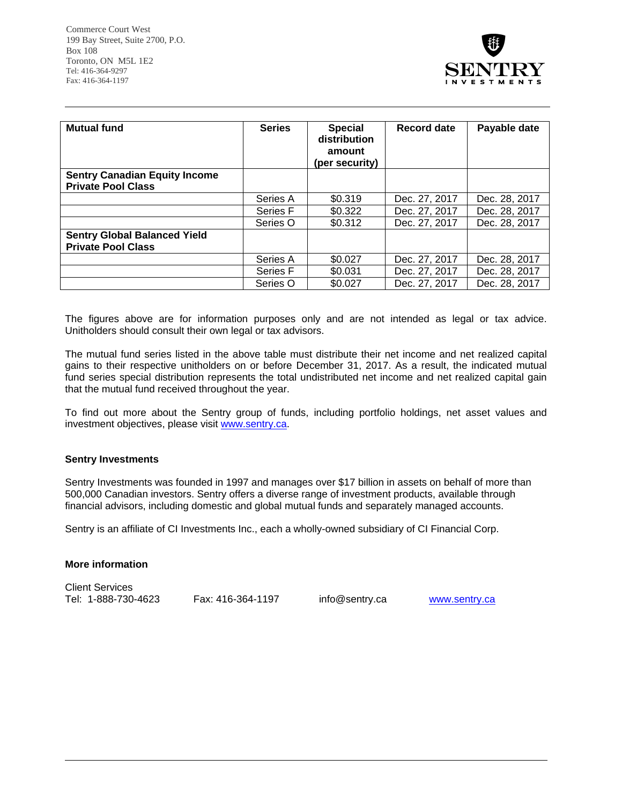

| <b>Mutual fund</b>                                               | <b>Series</b> | <b>Special</b><br>distribution<br>amount<br>(per security) | Record date   | Payable date  |
|------------------------------------------------------------------|---------------|------------------------------------------------------------|---------------|---------------|
| <b>Sentry Canadian Equity Income</b>                             |               |                                                            |               |               |
| <b>Private Pool Class</b>                                        |               |                                                            |               |               |
|                                                                  | Series A      | \$0.319                                                    | Dec. 27, 2017 | Dec. 28, 2017 |
|                                                                  | Series F      | \$0.322                                                    | Dec. 27, 2017 | Dec. 28, 2017 |
|                                                                  | Series O      | \$0.312                                                    | Dec. 27, 2017 | Dec. 28, 2017 |
| <b>Sentry Global Balanced Yield</b><br><b>Private Pool Class</b> |               |                                                            |               |               |
|                                                                  | Series A      | \$0.027                                                    | Dec. 27, 2017 | Dec. 28, 2017 |
|                                                                  | Series F      | \$0.031                                                    | Dec. 27, 2017 | Dec. 28, 2017 |
|                                                                  | Series O      | \$0.027                                                    | Dec. 27, 2017 | Dec. 28, 2017 |

The figures above are for information purposes only and are not intended as legal or tax advice. Unitholders should consult their own legal or tax advisors.

The mutual fund series listed in the above table must distribute their net income and net realized capital gains to their respective unitholders on or before December 31, 2017. As a result, the indicated mutual fund series special distribution represents the total undistributed net income and net realized capital gain that the mutual fund received throughout the year.

To find out more about the Sentry group of funds, including portfolio holdings, net asset values and investment objectives, please visit www.sentry.ca.

## **Sentry Investments**

Sentry Investments was founded in 1997 and manages over \$17 billion in assets on behalf of more than 500,000 Canadian investors. Sentry offers a diverse range of investment products, available through financial advisors, including domestic and global mutual funds and separately managed accounts.

Sentry is an affiliate of CI Investments Inc., each a wholly-owned subsidiary of CI Financial Corp.

## **More information**

Client Services Tel: 1-888-730-4623 Fax: 416-364-1197 info@sentry.ca www.sentry.ca